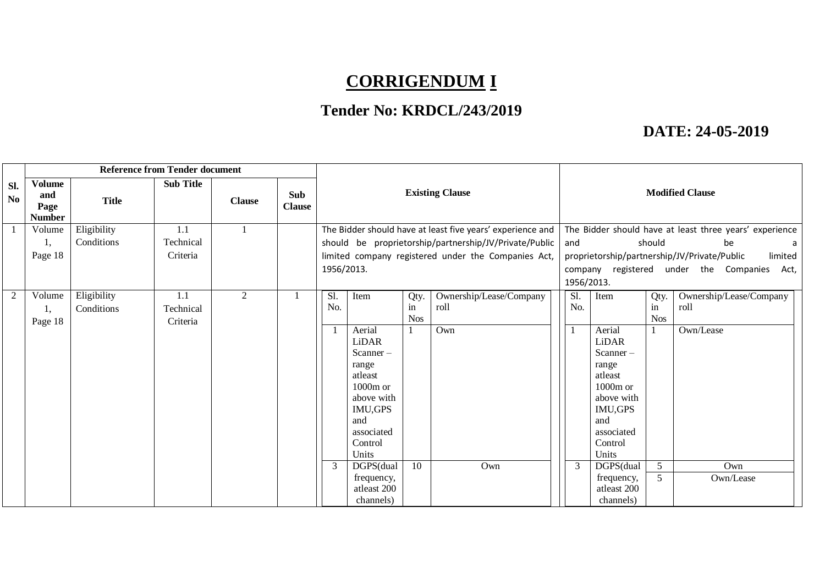# **CORRIGENDUM I**

## **Tender No: KRDCL/243/2019**

### **DATE: 24-05-2019**

|                       | <b>Reference from Tender document</b>         |              |                  |               |                      |                                                            |                              |            |                                                         |                                                         |                          |            |                         |
|-----------------------|-----------------------------------------------|--------------|------------------|---------------|----------------------|------------------------------------------------------------|------------------------------|------------|---------------------------------------------------------|---------------------------------------------------------|--------------------------|------------|-------------------------|
| Sl.<br>N <sub>o</sub> | <b>Volume</b><br>and<br>Page<br><b>Number</b> | <b>Title</b> | <b>Sub Title</b> | <b>Clause</b> | Sub<br><b>Clause</b> | <b>Existing Clause</b>                                     |                              |            | <b>Modified Clause</b>                                  |                                                         |                          |            |                         |
|                       | Volume                                        | Eligibility  | 1.1              | $\mathbf{1}$  |                      | The Bidder should have at least five years' experience and |                              |            | The Bidder should have at least three years' experience |                                                         |                          |            |                         |
|                       | 1,                                            | Conditions   | Technical        |               |                      |                                                            |                              |            | should be proprietorship/partnership/JV/Private/Public  | and                                                     |                          | should     | be<br>a                 |
|                       | Page 18                                       |              | Criteria         |               |                      |                                                            |                              |            | limited company registered under the Companies Act,     | proprietorship/partnership/JV/Private/Public<br>limited |                          |            |                         |
|                       |                                               |              |                  |               |                      | 1956/2013.                                                 |                              |            |                                                         | company registered under the Companies Act,             |                          |            |                         |
|                       |                                               |              |                  |               |                      |                                                            |                              |            |                                                         | 1956/2013.                                              |                          |            |                         |
| $\mathbf{2}$          | Volume                                        | Eligibility  | 1.1              | 2             |                      | Sl.                                                        | Item                         | Qty.       | Ownership/Lease/Company                                 | Sl.                                                     | Item                     | Qty.       | Ownership/Lease/Company |
|                       | 1,                                            | Conditions   | Technical        |               |                      | No.                                                        |                              | in         | roll                                                    | No.                                                     |                          | in         | roll                    |
|                       | Page 18                                       |              | Criteria         |               |                      |                                                            | Aerial                       | <b>Nos</b> |                                                         |                                                         | Aerial                   | <b>Nos</b> |                         |
|                       |                                               |              |                  |               |                      |                                                            | <b>LiDAR</b>                 |            | Own                                                     |                                                         | LiDAR                    |            | Own/Lease               |
|                       |                                               |              |                  |               |                      |                                                            | Scanner-                     |            |                                                         |                                                         | Scanner-                 |            |                         |
|                       |                                               |              |                  |               |                      |                                                            | range                        |            |                                                         |                                                         | range                    |            |                         |
|                       |                                               |              |                  |               |                      |                                                            | atleast                      |            |                                                         |                                                         | atleast                  |            |                         |
|                       |                                               |              |                  |               |                      |                                                            | $1000m$ or                   |            |                                                         |                                                         | $1000m$ or               |            |                         |
|                       |                                               |              |                  |               |                      |                                                            | above with<br><b>IMU,GPS</b> |            |                                                         |                                                         | above with<br>IMU,GPS    |            |                         |
|                       |                                               |              |                  |               |                      |                                                            | and                          |            |                                                         |                                                         | and                      |            |                         |
|                       |                                               |              |                  |               |                      |                                                            | associated                   |            |                                                         |                                                         | associated               |            |                         |
|                       |                                               |              |                  |               |                      |                                                            | Control                      |            |                                                         |                                                         | Control                  |            |                         |
|                       |                                               |              |                  |               |                      |                                                            | Units                        |            |                                                         |                                                         | Units                    |            |                         |
|                       |                                               |              |                  |               |                      | $\mathfrak{Z}$                                             | DGPS(dual                    | 10         | Own                                                     | 3                                                       | DGPS(dual                | 5          | Own                     |
|                       |                                               |              |                  |               |                      |                                                            | frequency,                   |            |                                                         |                                                         | frequency,               | 5          | Own/Lease               |
|                       |                                               |              |                  |               |                      |                                                            | atleast 200<br>channels)     |            |                                                         |                                                         | atleast 200<br>channels) |            |                         |
|                       |                                               |              |                  |               |                      |                                                            |                              |            |                                                         |                                                         |                          |            |                         |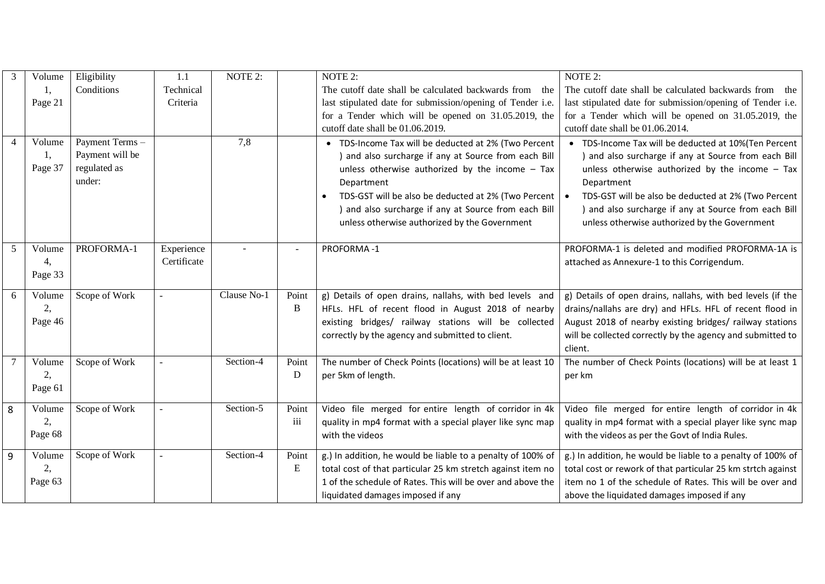| 3 | Volume                  | Eligibility                                                 | 1.1                       | NOTE 2:     |                   | NOTE 2:                                                                                                                                                                                                                                                                                                                                                    | NOTE 2:                                                                                                                                                                                                                                                                                                                                         |
|---|-------------------------|-------------------------------------------------------------|---------------------------|-------------|-------------------|------------------------------------------------------------------------------------------------------------------------------------------------------------------------------------------------------------------------------------------------------------------------------------------------------------------------------------------------------------|-------------------------------------------------------------------------------------------------------------------------------------------------------------------------------------------------------------------------------------------------------------------------------------------------------------------------------------------------|
|   | Ι,                      | Conditions                                                  | Technical                 |             |                   | The cutoff date shall be calculated backwards from the                                                                                                                                                                                                                                                                                                     | The cutoff date shall be calculated backwards from the                                                                                                                                                                                                                                                                                          |
|   | Page 21                 |                                                             | Criteria                  |             |                   | last stipulated date for submission/opening of Tender i.e.                                                                                                                                                                                                                                                                                                 | last stipulated date for submission/opening of Tender i.e.                                                                                                                                                                                                                                                                                      |
|   |                         |                                                             |                           |             |                   | for a Tender which will be opened on 31.05.2019, the                                                                                                                                                                                                                                                                                                       | for a Tender which will be opened on 31.05.2019, the                                                                                                                                                                                                                                                                                            |
|   |                         |                                                             |                           |             |                   | cutoff date shall be 01.06.2019.                                                                                                                                                                                                                                                                                                                           | cutoff date shall be 01.06.2014.                                                                                                                                                                                                                                                                                                                |
| 4 | Volume<br>1,<br>Page 37 | Payment Terms-<br>Payment will be<br>regulated as<br>under: |                           | 7,8         |                   | • TDS-Income Tax will be deducted at 2% (Two Percent<br>and also surcharge if any at Source from each Bill<br>unless otherwise authorized by the income $-$ Tax<br>Department<br>TDS-GST will be also be deducted at 2% (Two Percent<br>$\bullet$<br>) and also surcharge if any at Source from each Bill<br>unless otherwise authorized by the Government | • TDS-Income Tax will be deducted at 10%(Ten Percent<br>) and also surcharge if any at Source from each Bill<br>unless otherwise authorized by the income $-$ Tax<br>Department<br>TDS-GST will be also be deducted at 2% (Two Percent<br>) and also surcharge if any at Source from each Bill<br>unless otherwise authorized by the Government |
| 5 | Volume<br>4,<br>Page 33 | PROFORMA-1                                                  | Experience<br>Certificate |             |                   | PROFORMA-1                                                                                                                                                                                                                                                                                                                                                 | PROFORMA-1 is deleted and modified PROFORMA-1A is<br>attached as Annexure-1 to this Corrigendum.                                                                                                                                                                                                                                                |
| 6 | Volume<br>2,<br>Page 46 | Scope of Work                                               |                           | Clause No-1 | Point<br>$\bf{B}$ | g) Details of open drains, nallahs, with bed levels and<br>HFLs. HFL of recent flood in August 2018 of nearby<br>existing bridges/ railway stations will be collected<br>correctly by the agency and submitted to client.                                                                                                                                  | g) Details of open drains, nallahs, with bed levels (if the<br>drains/nallahs are dry) and HFLs. HFL of recent flood in<br>August 2018 of nearby existing bridges/ railway stations<br>will be collected correctly by the agency and submitted to<br>client.                                                                                    |
|   | Volume<br>2,<br>Page 61 | Scope of Work                                               |                           | Section-4   | Point<br>D        | The number of Check Points (locations) will be at least 10<br>per 5km of length.                                                                                                                                                                                                                                                                           | The number of Check Points (locations) will be at least 1<br>per km                                                                                                                                                                                                                                                                             |
| 8 | Volume<br>2,<br>Page 68 | Scope of Work                                               |                           | Section-5   | Point<br>iii      | Video file merged for entire length of corridor in 4k<br>quality in mp4 format with a special player like sync map<br>with the videos                                                                                                                                                                                                                      | Video file merged for entire length of corridor in 4k<br>quality in mp4 format with a special player like sync map<br>with the videos as per the Govt of India Rules.                                                                                                                                                                           |
| 9 | Volume<br>2,<br>Page 63 | Scope of Work                                               |                           | Section-4   | Point<br>E        | g.) In addition, he would be liable to a penalty of 100% of<br>total cost of that particular 25 km stretch against item no<br>1 of the schedule of Rates. This will be over and above the<br>liquidated damages imposed if any                                                                                                                             | g.) In addition, he would be liable to a penalty of 100% of<br>total cost or rework of that particular 25 km strtch against<br>item no 1 of the schedule of Rates. This will be over and<br>above the liquidated damages imposed if any                                                                                                         |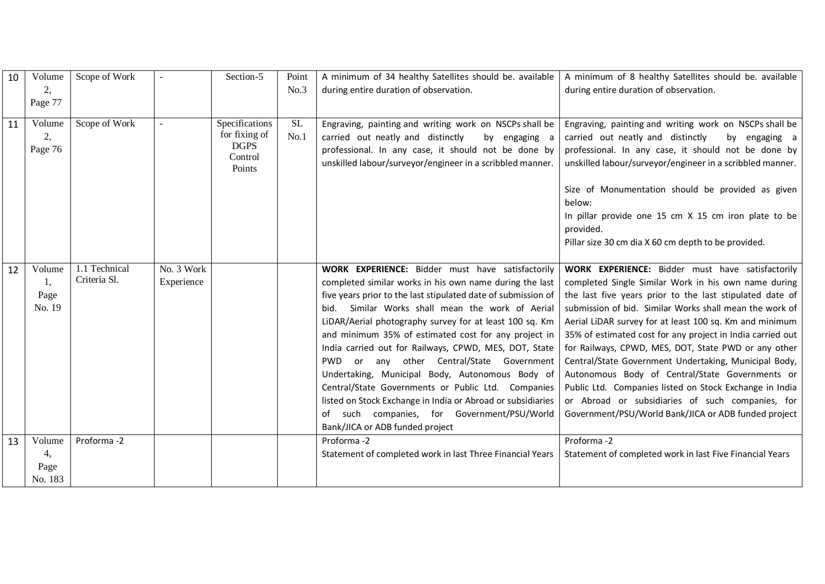| 10 | Volume                          | Scope of Work                 |                          | Section-5                                                           | Point             | A minimum of 34 healthy Satellites should be. available                                                                                                                                                                                                                                                                                                                                                                                                                                                                                                                                                                                                                                                                          | A minimum of 8 healthy Satellites should be. available                                                                                                                                                                                                                                                                                                                                                                                                                                                                                                                                                                                                                                              |
|----|---------------------------------|-------------------------------|--------------------------|---------------------------------------------------------------------|-------------------|----------------------------------------------------------------------------------------------------------------------------------------------------------------------------------------------------------------------------------------------------------------------------------------------------------------------------------------------------------------------------------------------------------------------------------------------------------------------------------------------------------------------------------------------------------------------------------------------------------------------------------------------------------------------------------------------------------------------------------|-----------------------------------------------------------------------------------------------------------------------------------------------------------------------------------------------------------------------------------------------------------------------------------------------------------------------------------------------------------------------------------------------------------------------------------------------------------------------------------------------------------------------------------------------------------------------------------------------------------------------------------------------------------------------------------------------------|
|    | 2,                              |                               |                          |                                                                     | No.3              | during entire duration of observation.                                                                                                                                                                                                                                                                                                                                                                                                                                                                                                                                                                                                                                                                                           | during entire duration of observation.                                                                                                                                                                                                                                                                                                                                                                                                                                                                                                                                                                                                                                                              |
|    | Page 77                         |                               |                          |                                                                     |                   |                                                                                                                                                                                                                                                                                                                                                                                                                                                                                                                                                                                                                                                                                                                                  |                                                                                                                                                                                                                                                                                                                                                                                                                                                                                                                                                                                                                                                                                                     |
| 11 | Volume<br>2,<br>Page 76         | Scope of Work                 |                          | Specifications<br>for fixing of<br><b>DGPS</b><br>Control<br>Points | <b>SL</b><br>No.1 | Engraving, painting and writing work on NSCPs shall be<br>carried out neatly and distinctly<br>by engaging a<br>professional. In any case, it should not be done by<br>unskilled labour/surveyor/engineer in a scribbled manner.                                                                                                                                                                                                                                                                                                                                                                                                                                                                                                 | Engraving, painting and writing work on NSCPs shall be<br>carried out neatly and distinctly<br>by engaging a<br>professional. In any case, it should not be done by<br>unskilled labour/surveyor/engineer in a scribbled manner.<br>Size of Monumentation should be provided as given<br>below:<br>In pillar provide one 15 cm X 15 cm iron plate to be<br>provided.<br>Pillar size 30 cm dia X 60 cm depth to be provided.                                                                                                                                                                                                                                                                         |
| 12 | Volume<br>1,<br>Page<br>No. 19  | 1.1 Technical<br>Criteria Sl. | No. 3 Work<br>Experience |                                                                     |                   | <b>WORK EXPERIENCE:</b> Bidder must have satisfactorily<br>completed similar works in his own name during the last<br>five years prior to the last stipulated date of submission of<br>bid. Similar Works shall mean the work of Aerial<br>LiDAR/Aerial photography survey for at least 100 sq. Km<br>and minimum 35% of estimated cost for any project in<br>India carried out for Railways, CPWD, MES, DOT, State<br>any other Central/State Government<br>PWD<br>or<br>Undertaking, Municipal Body, Autonomous Body of<br>Central/State Governments or Public Ltd. Companies<br>listed on Stock Exchange in India or Abroad or subsidiaries<br>of such companies, for Government/PSU/World<br>Bank/JICA or ADB funded project | WORK EXPERIENCE: Bidder must have satisfactorily<br>completed Single Similar Work in his own name during<br>the last five years prior to the last stipulated date of<br>submission of bid. Similar Works shall mean the work of<br>Aerial LiDAR survey for at least 100 sq. Km and minimum<br>35% of estimated cost for any project in India carried out<br>for Railways, CPWD, MES, DOT, State PWD or any other<br>Central/State Government Undertaking, Municipal Body,<br>Autonomous Body of Central/State Governments or<br>Public Ltd. Companies listed on Stock Exchange in India<br>or Abroad or subsidiaries of such companies, for<br>Government/PSU/World Bank/JICA or ADB funded project |
| 13 | Volume<br>4,<br>Page<br>No. 183 | Proforma-2                    |                          |                                                                     |                   | Proforma -2<br>Statement of completed work in last Three Financial Years                                                                                                                                                                                                                                                                                                                                                                                                                                                                                                                                                                                                                                                         | Proforma -2<br>Statement of completed work in last Five Financial Years                                                                                                                                                                                                                                                                                                                                                                                                                                                                                                                                                                                                                             |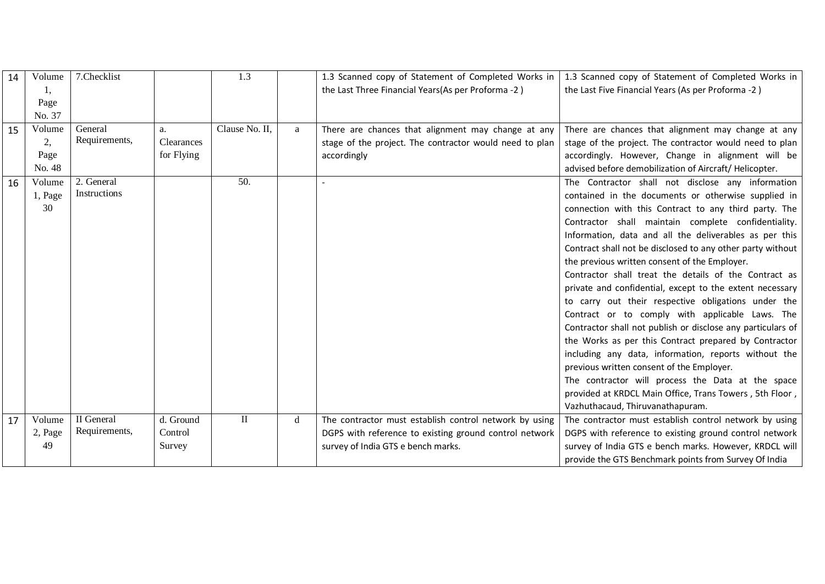| 14 | Volume  | 7. Checklist  |            | 1.3            |   | 1.3 Scanned copy of Statement of Completed Works in     | 1.3 Scanned copy of Statement of Completed Works in         |
|----|---------|---------------|------------|----------------|---|---------------------------------------------------------|-------------------------------------------------------------|
|    | 1,      |               |            |                |   | the Last Three Financial Years(As per Proforma -2)      | the Last Five Financial Years (As per Proforma -2)          |
|    | Page    |               |            |                |   |                                                         |                                                             |
|    | No. 37  |               |            |                |   |                                                         |                                                             |
| 15 | Volume  | General       | a.         | Clause No. II, | a | There are chances that alignment may change at any      | There are chances that alignment may change at any          |
|    | 2,      | Requirements, | Clearances |                |   | stage of the project. The contractor would need to plan | stage of the project. The contractor would need to plan     |
|    | Page    |               | for Flying |                |   | accordingly                                             | accordingly. However, Change in alignment will be           |
|    | No. 48  |               |            |                |   |                                                         | advised before demobilization of Aircraft/Helicopter.       |
| 16 | Volume  | 2. General    |            | 50.            |   |                                                         | The Contractor shall not disclose any information           |
|    | 1, Page | Instructions  |            |                |   |                                                         | contained in the documents or otherwise supplied in         |
|    | 30      |               |            |                |   |                                                         | connection with this Contract to any third party. The       |
|    |         |               |            |                |   |                                                         | Contractor shall maintain complete confidentiality.         |
|    |         |               |            |                |   |                                                         | Information, data and all the deliverables as per this      |
|    |         |               |            |                |   |                                                         | Contract shall not be disclosed to any other party without  |
|    |         |               |            |                |   |                                                         | the previous written consent of the Employer.               |
|    |         |               |            |                |   |                                                         | Contractor shall treat the details of the Contract as       |
|    |         |               |            |                |   |                                                         | private and confidential, except to the extent necessary    |
|    |         |               |            |                |   |                                                         | to carry out their respective obligations under the         |
|    |         |               |            |                |   |                                                         | Contract or to comply with applicable Laws. The             |
|    |         |               |            |                |   |                                                         | Contractor shall not publish or disclose any particulars of |
|    |         |               |            |                |   |                                                         | the Works as per this Contract prepared by Contractor       |
|    |         |               |            |                |   |                                                         | including any data, information, reports without the        |
|    |         |               |            |                |   |                                                         | previous written consent of the Employer.                   |
|    |         |               |            |                |   |                                                         | The contractor will process the Data at the space           |
|    |         |               |            |                |   |                                                         | provided at KRDCL Main Office, Trans Towers, 5th Floor,     |
|    |         |               |            |                |   |                                                         | Vazhuthacaud, Thiruvanathapuram.                            |
| 17 | Volume  | II General    | d. Ground  | $\rm II$       | d | The contractor must establish control network by using  | The contractor must establish control network by using      |
|    | 2, Page | Requirements, | Control    |                |   | DGPS with reference to existing ground control network  | DGPS with reference to existing ground control network      |
|    | 49      |               | Survey     |                |   | survey of India GTS e bench marks.                      | survey of India GTS e bench marks. However, KRDCL will      |
|    |         |               |            |                |   |                                                         | provide the GTS Benchmark points from Survey Of India       |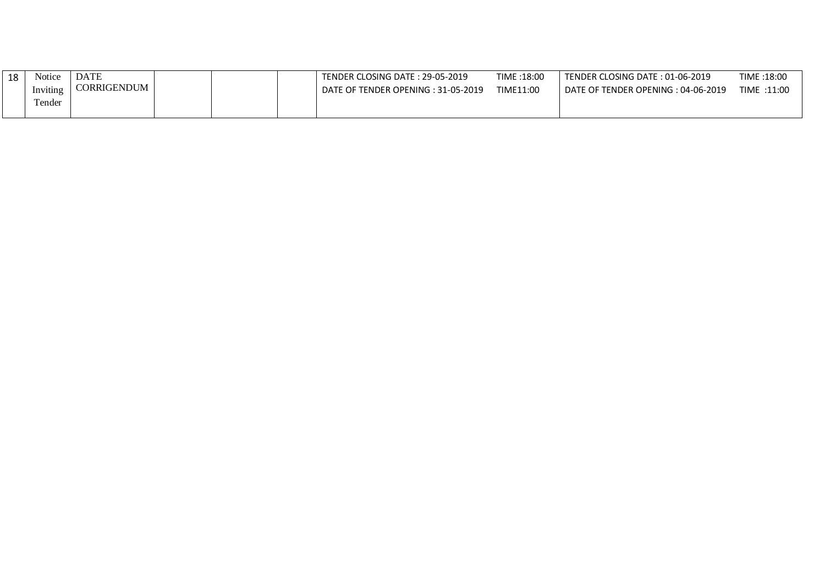| 18 | Notice   | <b>DATE</b> |  | TENDER CLOSING DATE: 29-05-2019                | TIME:18:00 | TENDER CLOSING DATE: 01-06-2019    | TIME: 18:00 |
|----|----------|-------------|--|------------------------------------------------|------------|------------------------------------|-------------|
|    | Inviting | CORRIGENDUM |  | E OF TENDER OPENING : 31-05-2019<br><b>DAT</b> | TIME11:00  | DATE OF TENDER OPENING: 04-06-2019 | TIME :11:00 |
|    | Γender   |             |  |                                                |            |                                    |             |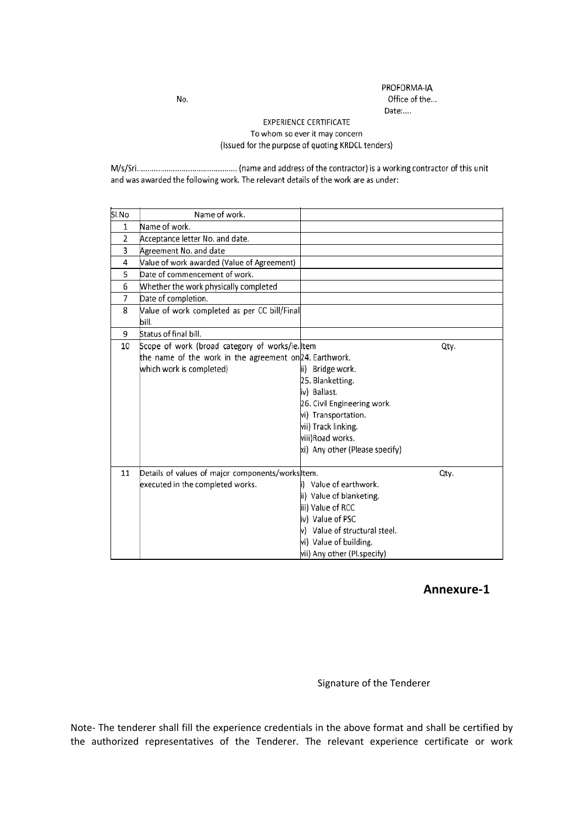PROFORMA-IA<br>Office of the... Date:....

#### **EXPERIENCE CERTIFICATE** To whom so ever it may concern (Issued for the purpose of quoting KRDCL tenders)

and was awarded the following work. The relevant details of the work are as under:

| Sl.No | Name of work.                                           |                                |      |
|-------|---------------------------------------------------------|--------------------------------|------|
| 1     | Name of work.                                           |                                |      |
| 2     | Acceptance letter No. and date.                         |                                |      |
| 3     | Agreement No. and date                                  |                                |      |
| 4     | Value of work awarded (Value of Agreement)              |                                |      |
| 5     | Date of commencement of work.                           |                                |      |
| 6     | Whether the work physically completed                   |                                |      |
| 7     | Date of completion.                                     |                                |      |
| 8     | Value of work completed as per CC bill/Final<br>bill.   |                                |      |
| 9     | Status of final bill.                                   |                                |      |
| 10    | Scope of work (broad category of works/ie. Item         |                                | Qty. |
|       | the name of the work in the agreement on 24. Earthwork. |                                |      |
|       | which work is completed)                                | ii) Bridge work.               |      |
|       |                                                         | 25. Blanketting.               |      |
|       |                                                         | iv) Ballast.                   |      |
|       |                                                         | 26. Civil Engineering work.    |      |
|       |                                                         | vi) Transportation.            |      |
|       |                                                         | vii) Track linking.            |      |
|       |                                                         | viii) Road works.              |      |
|       |                                                         | xi) Any other (Please specify) |      |
| 11    | Details of values of major components/works Item.       |                                | Qty. |
|       | executed in the completed works.                        | i) Value of earthwork.         |      |
|       |                                                         | ii) Value of blanketing.       |      |
|       |                                                         | iii) Value of RCC              |      |
|       |                                                         | iv) Value of PSC               |      |
|       |                                                         | v) Value of structural steel.  |      |
|       |                                                         | vi) Value of building.         |      |
|       |                                                         | wii) Any other (Pl.specify)    |      |

### **Annexure-1**

Signature of the Tenderer

Note- The tenderer shall fill the experience credentials in the above format and shall be certified by the authorized representatives of the Tenderer. The relevant experience certificate or work

No.